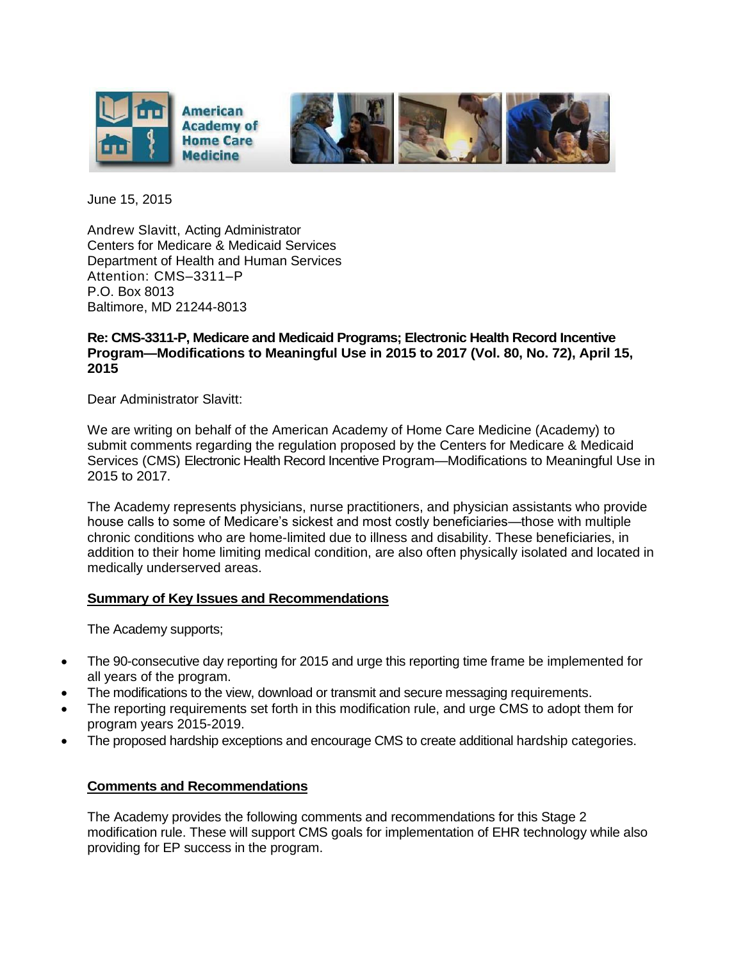

June 15, 2015

Andrew Slavitt, Acting Administrator Centers for Medicare & Medicaid Services Department of Health and Human Services Attention: CMS–3311–P P.O. Box 8013 Baltimore, MD 21244-8013

## **Re: CMS-3311-P, Medicare and Medicaid Programs; Electronic Health Record Incentive Program—Modifications to Meaningful Use in 2015 to 2017 (Vol. 80, No. 72), April 15, 2015**

Dear Administrator Slavitt:

We are writing on behalf of the American Academy of Home Care Medicine (Academy) to submit comments regarding the regulation proposed by the Centers for Medicare & Medicaid Services (CMS) Electronic Health Record Incentive Program—Modifications to Meaningful Use in 2015 to 2017.

The Academy represents physicians, nurse practitioners, and physician assistants who provide house calls to some of Medicare's sickest and most costly beneficiaries—those with multiple chronic conditions who are home-limited due to illness and disability. These beneficiaries, in addition to their home limiting medical condition, are also often physically isolated and located in medically underserved areas.

## **Summary of Key Issues and Recommendations**

The Academy supports;

- The 90-consecutive day reporting for 2015 and urge this reporting time frame be implemented for all years of the program.
- The modifications to the view, download or transmit and secure messaging requirements.
- The reporting requirements set forth in this modification rule, and urge CMS to adopt them for program years 2015-2019.
- The proposed hardship exceptions and encourage CMS to create additional hardship categories.

## **Comments and Recommendations**

The Academy provides the following comments and recommendations for this Stage 2 modification rule. These will support CMS goals for implementation of EHR technology while also providing for EP success in the program.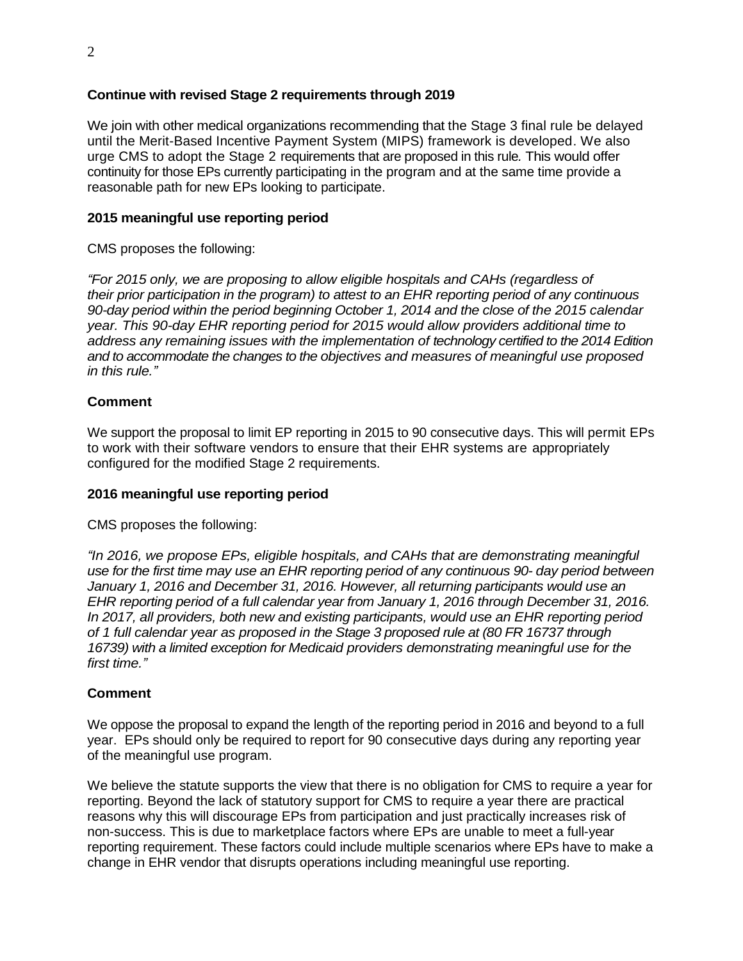# **Continue with revised Stage 2 requirements through 2019**

We join with other medical organizations recommending that the Stage 3 final rule be delayed until the Merit-Based Incentive Payment System (MIPS) framework is developed. We also urge CMS to adopt the Stage 2 requirements that are proposed in this rule*.* This would offer continuity for those EPs currently participating in the program and at the same time provide a reasonable path for new EPs looking to participate.

# **2015 meaningful use reporting period**

CMS proposes the following:

*"For 2015 only, we are proposing to allow eligible hospitals and CAHs (regardless of their prior participation in the program) to attest to an EHR reporting period of any continuous 90-day period within the period beginning October 1, 2014 and the close of the 2015 calendar year. This 90-day EHR reporting period for 2015 would allow providers additional time to address any remaining issues with the implementation of technology certified to the 2014 Edition and to accommodate the changes to the objectives and measures of meaningful use proposed in this rule."*

## **Comment**

We support the proposal to limit EP reporting in 2015 to 90 consecutive days. This will permit EPs to work with their software vendors to ensure that their EHR systems are appropriately configured for the modified Stage 2 requirements.

## **2016 meaningful use reporting period**

CMS proposes the following:

*"In 2016, we propose EPs, eligible hospitals, and CAHs that are demonstrating meaningful use for the first time may use an EHR reporting period of any continuous 90- day period between January 1, 2016 and December 31, 2016. However, all returning participants would use an EHR reporting period of a full calendar year from January 1, 2016 through December 31, 2016. In 2017, all providers, both new and existing participants, would use an EHR reporting period of 1 full calendar year as proposed in the Stage 3 proposed rule at (80 FR 16737 through 16739) with a limited exception for Medicaid providers demonstrating meaningful use for the first time."*

## **Comment**

We oppose the proposal to expand the length of the reporting period in 2016 and beyond to a full year. EPs should only be required to report for 90 consecutive days during any reporting year of the meaningful use program.

We believe the statute supports the view that there is no obligation for CMS to require a year for reporting. Beyond the lack of statutory support for CMS to require a year there are practical reasons why this will discourage EPs from participation and just practically increases risk of non-success. This is due to marketplace factors where EPs are unable to meet a full-year reporting requirement. These factors could include multiple scenarios where EPs have to make a change in EHR vendor that disrupts operations including meaningful use reporting.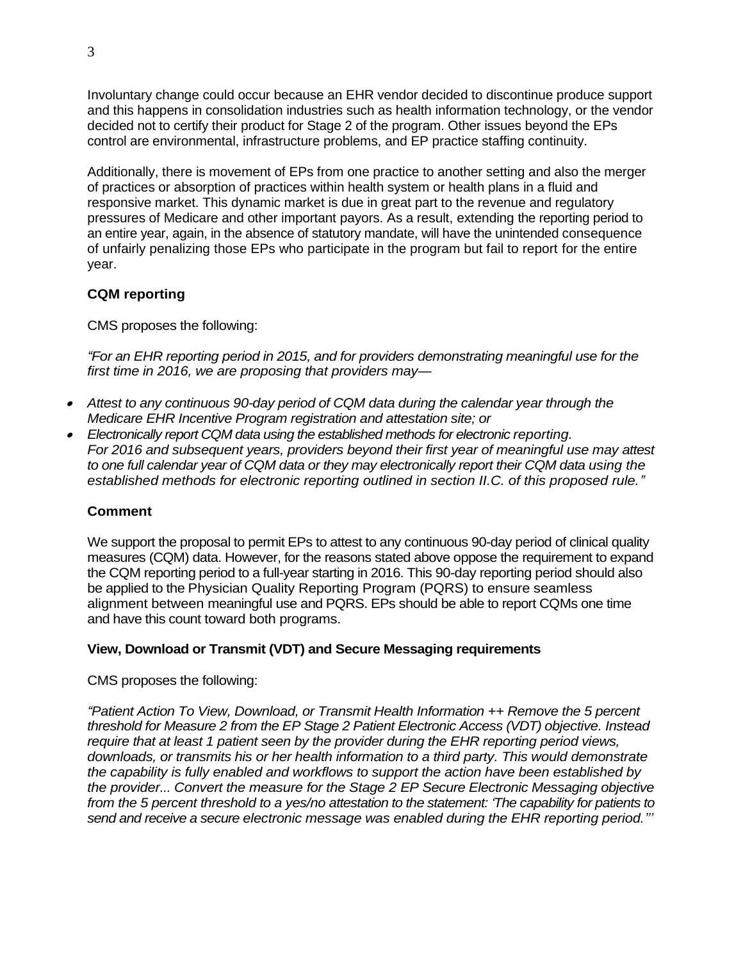Involuntary change could occur because an EHR vendor decided to discontinue produce support and this happens in consolidation industries such as health information technology, or the vendor decided not to certify their product for Stage 2 of the program. Other issues beyond the EPs control are environmental, infrastructure problems, and EP practice staffing continuity.

Additionally, there is movement of EPs from one practice to another setting and also the merger of practices or absorption of practices within health system or health plans in a fluid and responsive market. This dynamic market is due in great part to the revenue and regulatory pressures of Medicare and other important payors. As a result, extending the reporting period to an entire year, again, in the absence of statutory mandate, will have the unintended consequence of unfairly penalizing those EPs who participate in the program but fail to report for the entire year.

# **CQM reporting**

CMS proposes the following:

*"For an EHR reporting period in 2015, and for providers demonstrating meaningful use for the first time in 2016, we are proposing that providers may—*

- . *Attest to any continuous 90-day period of CQM data during the calendar year through the Medicare EHR Incentive Program registration and attestation site; or*
- *Electronically report CQM data using the established methods for electronic reporting. For 2016 and subsequent years, providers beyond their first year of meaningful use may attest to one full calendar year of CQM data or they may electronically report their CQM data using the established methods for electronic reporting outlined in section II.C. of this proposed rule."*

## **Comment**

We support the proposal to permit EPs to attest to any continuous 90-day period of clinical quality measures (CQM) data. However, for the reasons stated above oppose the requirement to expand the CQM reporting period to a full-year starting in 2016. This 90-day reporting period should also be applied to the Physician Quality Reporting Program (PQRS) to ensure seamless alignment between meaningful use and PQRS. EPs should be able to report CQMs one time and have this count toward both programs.

## **View, Download or Transmit (VDT) and Secure Messaging requirements**

#### CMS proposes the following:

*"Patient Action To View, Download, or Transmit Health Information ++ Remove the 5 percent threshold for Measure 2 from the EP Stage 2 Patient Electronic Access (VDT) objective. Instead require that at least 1 patient seen by the provider during the EHR reporting period views, downloads, or transmits his or her health information to a third party. This would demonstrate the capability is fully enabled and workflows to support the action have been established by the provider... Convert the measure for the Stage 2 EP Secure Electronic Messaging objective from the 5 percent threshold to a yes/no attestation to the statement: 'The capability for patients to send and receive a secure electronic message was enabled during the EHR reporting period.'''*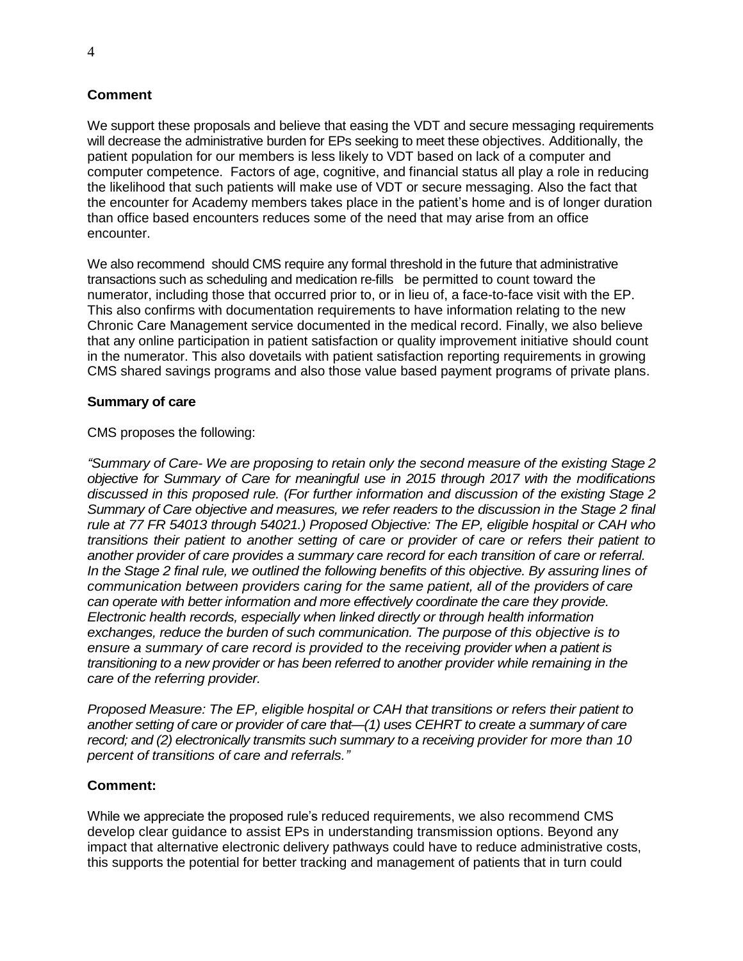## **Comment**

We support these proposals and believe that easing the VDT and secure messaging requirements will decrease the administrative burden for EPs seeking to meet these objectives. Additionally, the patient population for our members is less likely to VDT based on lack of a computer and computer competence. Factors of age, cognitive, and financial status all play a role in reducing the likelihood that such patients will make use of VDT or secure messaging. Also the fact that the encounter for Academy members takes place in the patient's home and is of longer duration than office based encounters reduces some of the need that may arise from an office encounter.

We also recommend should CMS require any formal threshold in the future that administrative transactions such as scheduling and medication re-fills be permitted to count toward the numerator, including those that occurred prior to, or in lieu of, a face-to-face visit with the EP. This also confirms with documentation requirements to have information relating to the new Chronic Care Management service documented in the medical record. Finally, we also believe that any online participation in patient satisfaction or quality improvement initiative should count in the numerator. This also dovetails with patient satisfaction reporting requirements in growing CMS shared savings programs and also those value based payment programs of private plans.

#### **Summary of care**

### CMS proposes the following:

*"Summary of Care- We are proposing to retain only the second measure of the existing Stage 2 objective for Summary of Care for meaningful use in 2015 through 2017 with the modifications discussed in this proposed rule. (For further information and discussion of the existing Stage 2 Summary of Care objective and measures, we refer readers to the discussion in the Stage 2 final rule at 77 FR 54013 through 54021.) Proposed Objective: The EP, eligible hospital or CAH who transitions their patient to another setting of care or provider of care or refers their patient to another provider of care provides a summary care record for each transition of care or referral. In the Stage 2 final rule, we outlined the following benefits of this objective. By assuring lines of communication between providers caring for the same patient, all of the providers of care can operate with better information and more effectively coordinate the care they provide. Electronic health records, especially when linked directly or through health information exchanges, reduce the burden of such communication. The purpose of this objective is to ensure a summary of care record is provided to the receiving provider when a patient is transitioning to a new provider or has been referred to another provider while remaining in the care of the referring provider.*

*Proposed Measure: The EP, eligible hospital or CAH that transitions or refers their patient to another setting of care or provider of care that—(1) uses CEHRT to create a summary of care record; and (2) electronically transmits such summary to a receiving provider for more than 10 percent of transitions of care and referrals."*

## **Comment:**

While we appreciate the proposed rule's reduced requirements, we also recommend CMS develop clear guidance to assist EPs in understanding transmission options. Beyond any impact that alternative electronic delivery pathways could have to reduce administrative costs, this supports the potential for better tracking and management of patients that in turn could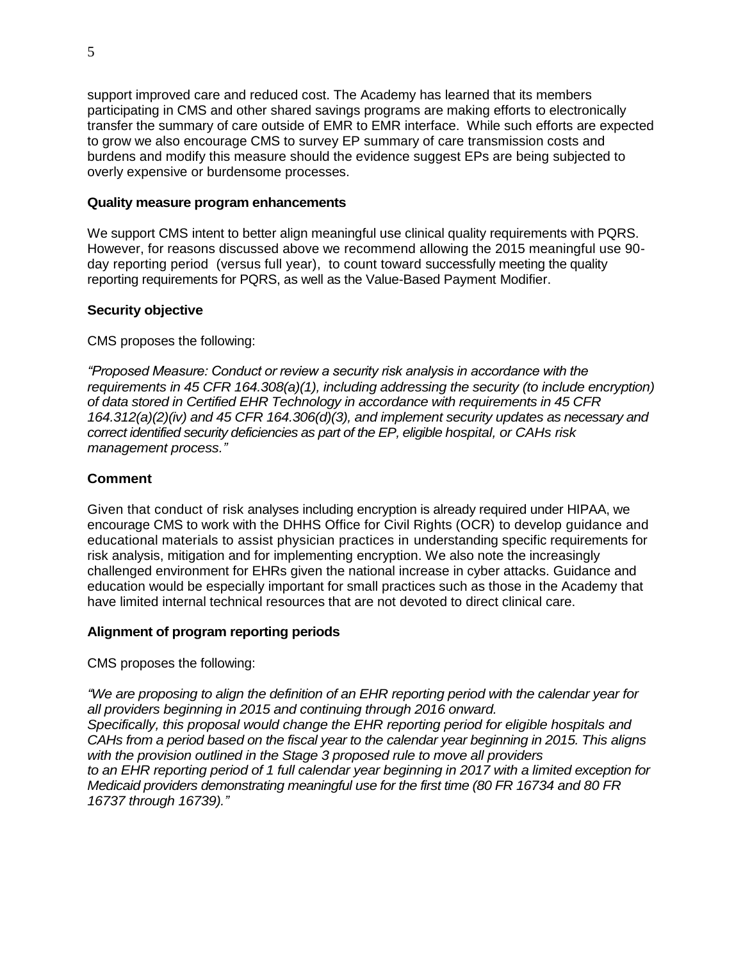support improved care and reduced cost. The Academy has learned that its members participating in CMS and other shared savings programs are making efforts to electronically transfer the summary of care outside of EMR to EMR interface. While such efforts are expected to grow we also encourage CMS to survey EP summary of care transmission costs and burdens and modify this measure should the evidence suggest EPs are being subjected to overly expensive or burdensome processes.

### **Quality measure program enhancements**

We support CMS intent to better align meaningful use clinical quality requirements with PQRS. However, for reasons discussed above we recommend allowing the 2015 meaningful use 90 day reporting period (versus full year), to count toward successfully meeting the quality reporting requirements for PQRS, as well as the Value-Based Payment Modifier.

### **Security objective**

CMS proposes the following:

*"Proposed Measure: Conduct or review a security risk analysis in accordance with the requirements in 45 CFR 164.308(a)(1), including addressing the security (to include encryption) of data stored in Certified EHR Technology in accordance with requirements in 45 CFR 164.312(a)(2)(iv) and 45 CFR 164.306(d)(3), and implement security updates as necessary and correct identified security deficiencies as part of the EP, eligible hospital, or CAHs risk management process."*

### **Comment**

Given that conduct of risk analyses including encryption is already required under HIPAA, we encourage CMS to work with the DHHS Office for Civil Rights (OCR) to develop guidance and educational materials to assist physician practices in understanding specific requirements for risk analysis, mitigation and for implementing encryption. We also note the increasingly challenged environment for EHRs given the national increase in cyber attacks. Guidance and education would be especially important for small practices such as those in the Academy that have limited internal technical resources that are not devoted to direct clinical care.

#### **Alignment of program reporting periods**

CMS proposes the following:

*"We are proposing to align the definition of an EHR reporting period with the calendar year for all providers beginning in 2015 and continuing through 2016 onward. Specifically, this proposal would change the EHR reporting period for eligible hospitals and CAHs from a period based on the fiscal year to the calendar year beginning in 2015. This aligns with the provision outlined in the Stage 3 proposed rule to move all providers to an EHR reporting period of 1 full calendar year beginning in 2017 with a limited exception for Medicaid providers demonstrating meaningful use for the first time (80 FR 16734 and 80 FR 16737 through 16739)."*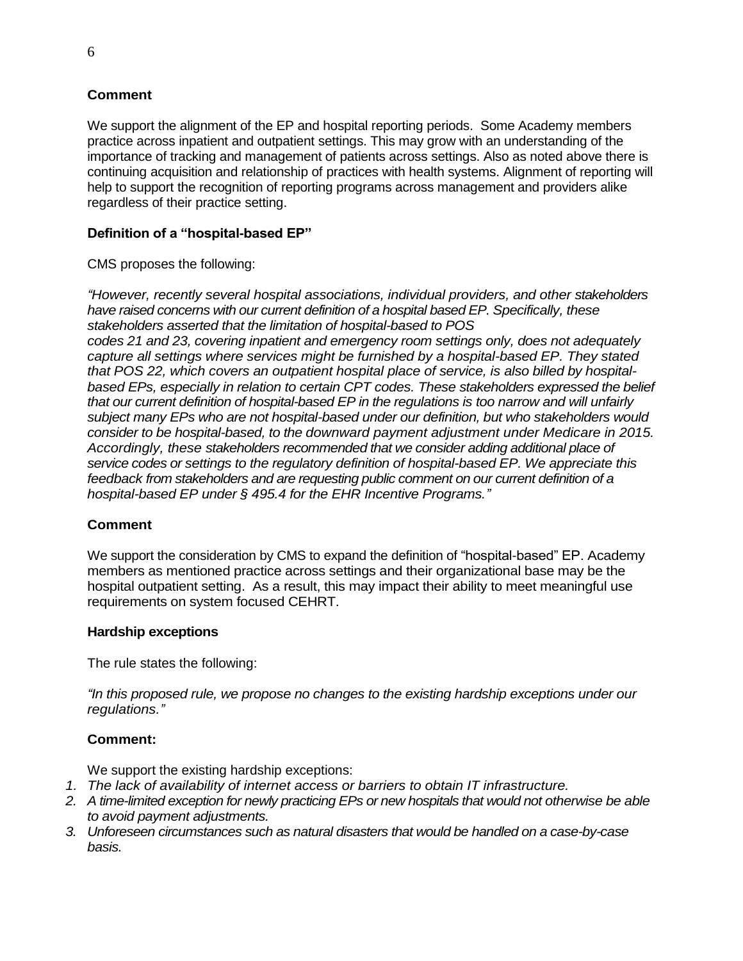# **Comment**

We support the alignment of the EP and hospital reporting periods. Some Academy members practice across inpatient and outpatient settings. This may grow with an understanding of the importance of tracking and management of patients across settings. Also as noted above there is continuing acquisition and relationship of practices with health systems. Alignment of reporting will help to support the recognition of reporting programs across management and providers alike regardless of their practice setting.

# **Definition of a "hospital-based EP"**

CMS proposes the following:

*"However, recently several hospital associations, individual providers, and other stakeholders have raised concerns with our current definition of a hospital based EP. Specifically, these stakeholders asserted that the limitation of hospital-based to POS codes 21 and 23, covering inpatient and emergency room settings only, does not adequately capture all settings where services might be furnished by a hospital-based EP. They stated that POS 22, which covers an outpatient hospital place of service, is also billed by hospitalbased EPs, especially in relation to certain CPT codes. These stakeholders expressed the belief that our current definition of hospital-based EP in the regulations is too narrow and will unfairly subject many EPs who are not hospital-based under our definition, but who stakeholders would consider to be hospital-based, to the downward payment adjustment under Medicare in 2015. Accordingly, these stakeholders recommended that we consider adding additional place of service codes or settings to the regulatory definition of hospital-based EP. We appreciate this feedback from stakeholders and are requesting public comment on our current definition of a hospital-based EP under § 495.4 for the EHR Incentive Programs."*

## **Comment**

We support the consideration by CMS to expand the definition of "hospital-based" EP. Academy members as mentioned practice across settings and their organizational base may be the hospital outpatient setting. As a result, this may impact their ability to meet meaningful use requirements on system focused CEHRT.

## **Hardship exceptions**

The rule states the following:

*"In this proposed rule, we propose no changes to the existing hardship exceptions under our regulations."*

## **Comment:**

We support the existing hardship exceptions:

- *1. The lack of availability of internet access or barriers to obtain IT infrastructure.*
- *2. A time-limited exception for newly practicing EPs or new hospitals that would not otherwise be able to avoid payment adjustments.*
- *3. Unforeseen circumstances such as natural disasters that would be handled on a case-by-case basis.*